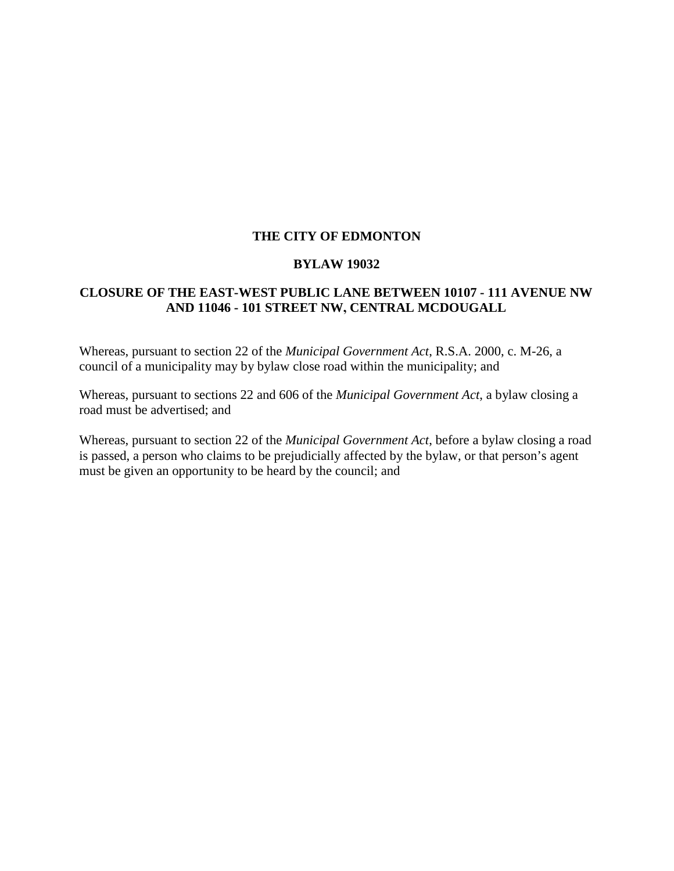### **THE CITY OF EDMONTON**

#### **BYLAW 19032**

### **CLOSURE OF THE EAST-WEST PUBLIC LANE BETWEEN 10107 - 111 AVENUE NW AND 11046 - 101 STREET NW, CENTRAL MCDOUGALL**

Whereas, pursuant to section 22 of the *Municipal Government Act*, R.S.A. 2000, c. M-26, a council of a municipality may by bylaw close road within the municipality; and

Whereas, pursuant to sections 22 and 606 of the *Municipal Government Act*, a bylaw closing a road must be advertised; and

Whereas, pursuant to section 22 of the *Municipal Government Act*, before a bylaw closing a road is passed, a person who claims to be prejudicially affected by the bylaw, or that person's agent must be given an opportunity to be heard by the council; and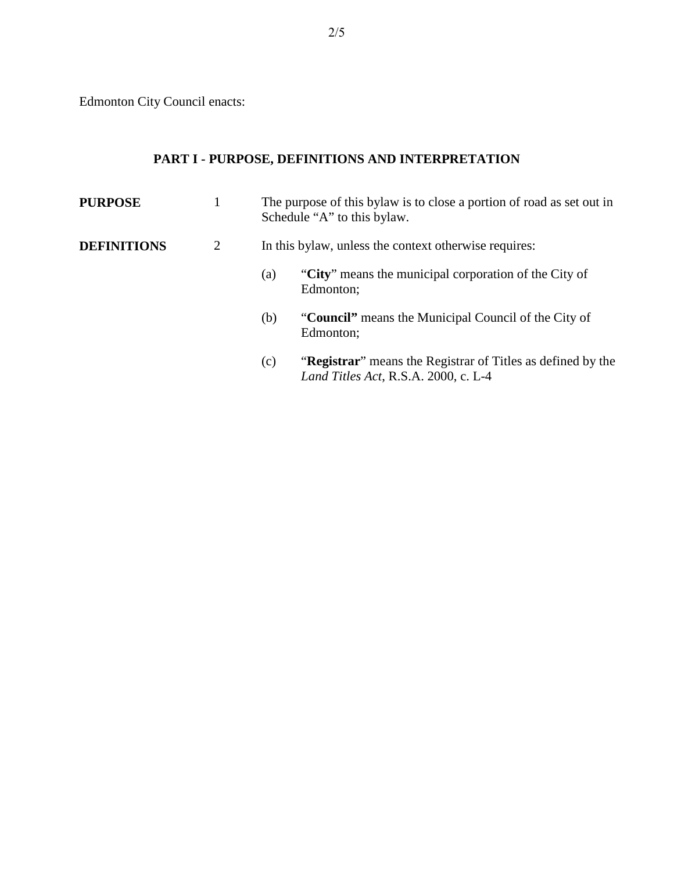Edmonton City Council enacts:

# **PART I - PURPOSE, DEFINITIONS AND INTERPRETATION**

| <b>PURPOSE</b>     |   | The purpose of this bylaw is to close a portion of road as set out in<br>Schedule "A" to this bylaw.               |  |  |
|--------------------|---|--------------------------------------------------------------------------------------------------------------------|--|--|
| <b>DEFINITIONS</b> | 2 | In this bylaw, unless the context otherwise requires:                                                              |  |  |
|                    |   | "City" means the municipal corporation of the City of<br>(a)<br>Edmonton;                                          |  |  |
|                    |   | "Council" means the Municipal Council of the City of<br>(b)<br>Edmonton;                                           |  |  |
|                    |   | "Registrar" means the Registrar of Titles as defined by the<br>(c)<br><i>Land Titles Act</i> , R.S.A. 2000, c. L-4 |  |  |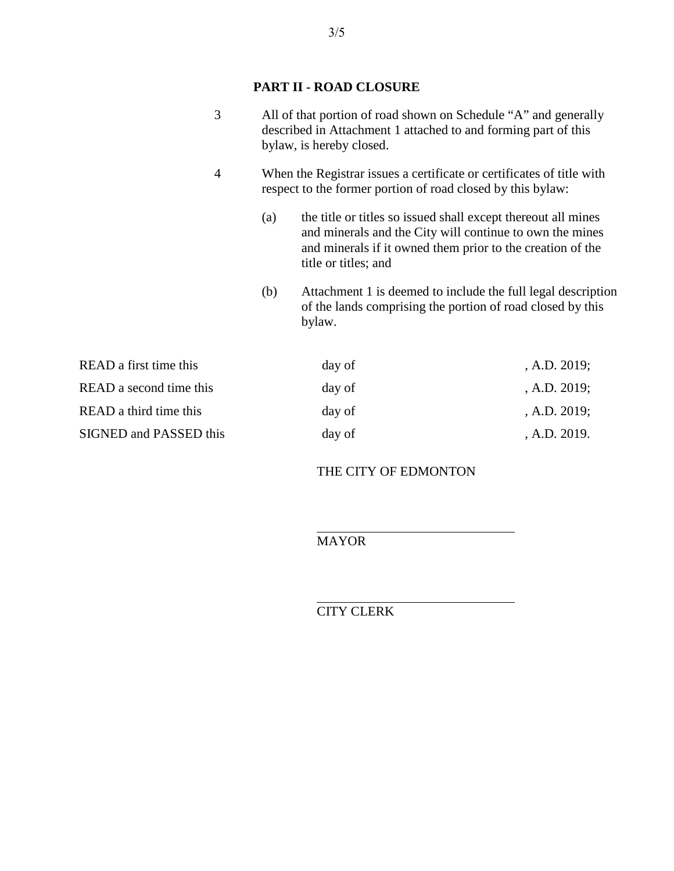## **PART II - ROAD CLOSURE**

| 3                             |                                                                                                                                      | All of that portion of road shown on Schedule "A" and generally<br>described in Attachment 1 attached to and forming part of this<br>bylaw, is hereby closed.                                                   |              |  |  |
|-------------------------------|--------------------------------------------------------------------------------------------------------------------------------------|-----------------------------------------------------------------------------------------------------------------------------------------------------------------------------------------------------------------|--------------|--|--|
| $\overline{4}$                | When the Registrar issues a certificate or certificates of title with<br>respect to the former portion of road closed by this bylaw: |                                                                                                                                                                                                                 |              |  |  |
|                               | (a)                                                                                                                                  | the title or titles so issued shall except thereout all mines<br>and minerals and the City will continue to own the mines<br>and minerals if it owned them prior to the creation of the<br>title or titles; and |              |  |  |
|                               | (b)                                                                                                                                  | Attachment 1 is deemed to include the full legal description<br>of the lands comprising the portion of road closed by this<br>bylaw.                                                                            |              |  |  |
| READ a first time this        |                                                                                                                                      | day of                                                                                                                                                                                                          | , A.D. 2019; |  |  |
| READ a second time this       |                                                                                                                                      | day of                                                                                                                                                                                                          | , A.D. 2019; |  |  |
| READ a third time this        |                                                                                                                                      | day of                                                                                                                                                                                                          | , A.D. 2019; |  |  |
| <b>SIGNED and PASSED this</b> |                                                                                                                                      | day of                                                                                                                                                                                                          | , A.D. 2019. |  |  |

### THE CITY OF EDMONTON

MAYOR

 $\overline{a}$ 

 $\overline{a}$ CITY CLERK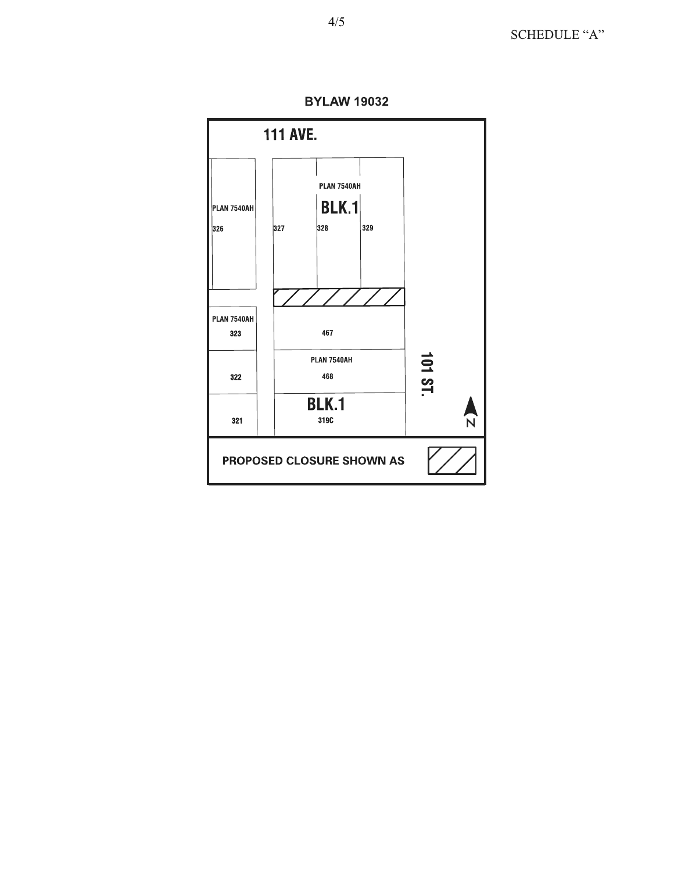

PROPOSED CLOSURE SHOWN AS

**BYLAW 19032** 

4/5